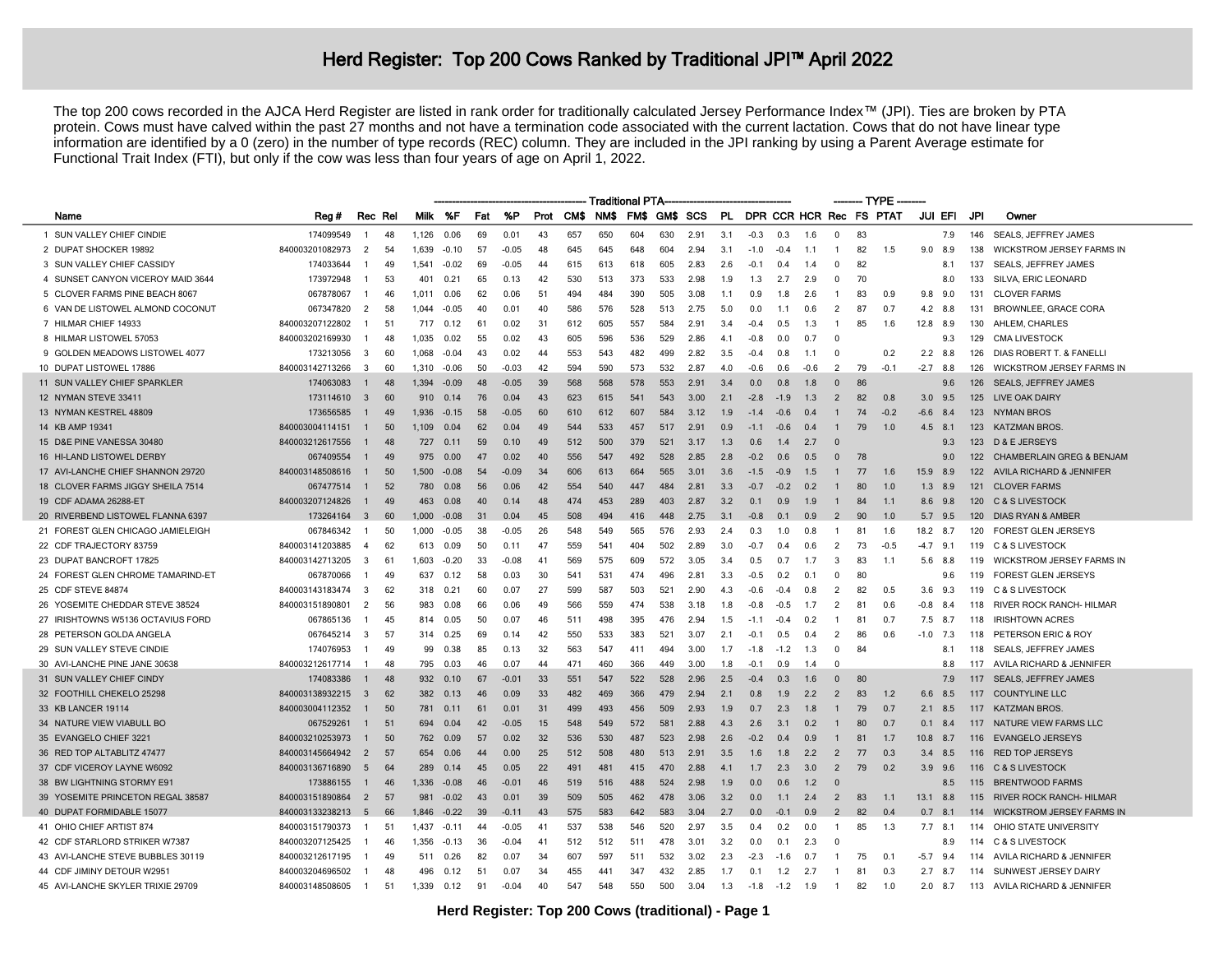## Herd Register: Top 200 Cows Ranked by Traditional JPI<sup>™</sup> April 2022

The top 200 cows recorded in the AJCA Herd Register are listed in rank order for traditionally calculated Jersey Performance Index™ (JPI). Ties are broken by PTA protein. Cows must have calved within the past 27 months and not have a termination code associated with the current lactation. Cows that do not have linear type information are identified by a 0 (zero) in the number of type records (REC) column. They are included in the JPI ranking by using a Parent Average estimate for Functional Trait Index (FTI), but only if the cow was less than four years of age on April 1, 2022.

|                                   | <b>Traditional PTA-</b> |                |         |       |         |     |         |      |      |      |      |      |      |     |        | -- TYPE |        |                |    |                         |            |           |     |                                      |
|-----------------------------------|-------------------------|----------------|---------|-------|---------|-----|---------|------|------|------|------|------|------|-----|--------|---------|--------|----------------|----|-------------------------|------------|-----------|-----|--------------------------------------|
| Name                              | Reg#                    |                | Rec Rel | Milk  | %F      | Fat | %P      | Prot | CM\$ | NM\$ | FM\$ | GM\$ | SCS  | PL. |        |         |        |                |    | DPR CCR HCR Rec FS PTAT | JUI EFI    |           | JPI | Owner                                |
| 1 SUN VALLEY CHIEF CINDIE         | 174099549               | $\overline{1}$ | 48      | 1.126 | 0.06    | 69  | 0.01    | 43   | 657  | 650  | 604  | 630  | 2.91 | 3.1 | $-0.3$ | 0.3     | 1.6    | $\Omega$       | 83 |                         |            | 7.9       | 146 | SEALS, JEFFREY JAMES                 |
| 2 DUPAT SHOCKER 19892             | 840003201082973         | $\overline{2}$ | 54      | 1,639 | $-0.10$ | 57  | $-0.05$ | 48   | 645  | 645  | 648  | 604  | 2.94 | 3.1 | $-1.0$ | $-0.4$  | 1.1    |                | 82 | 1.5                     | 9.0        | 8.9       | 138 | <b>WICKSTROM JERSEY FARMS IN</b>     |
| 3 SUN VALLEY CHIEF CASSIDY        | 174033644               | -1             | 49      | 1.541 | $-0.02$ | 69  | $-0.05$ | 44   | 615  | 613  | 618  | 605  | 2.83 | 2.6 | $-0.1$ | 0.4     | 1.4    | $\Omega$       | 82 |                         |            | 8.1       | 137 | <b>SEALS, JEFFREY JAMES</b>          |
| 4 SUNSET CANYON VICEROY MAID 3644 | 173972948               | -1             | 53      | 401   | 0.21    | 65  | 0.13    | 42   | 530  | 513  | 373  | 533  | 2.98 | 1.9 | 1.3    | 2.7     | 2.9    | $\Omega$       | 70 |                         |            | 8.0       | 133 | SILVA, ERIC LEONARD                  |
| 5 CLOVER FARMS PINE BEACH 8067    | 067878067               | -1             | 46      | 1.011 | 0.06    | 62  | 0.06    | 51   | 494  | 484  | 390  | 505  | 3.08 | 1.1 | 0.9    | 1.8     | 2.6    |                | 83 | 0.9                     | 9.8        | 9.0       | 131 | <b>CLOVER FARMS</b>                  |
| 6 VAN DE LISTOWEL ALMOND COCONUT  | 067347820               | $\overline{2}$ | 58      | 1.044 | $-0.05$ | 40  | 0.01    | 40   | 586  | 576  | 528  | 513  | 2.75 | 5.0 | 0.0    | 1.1     | 0.6    | $\overline{2}$ | 87 | 0.7                     | 4.2        | 8.8       | 131 | BROWNLEE, GRACE CORA                 |
| 7 HILMAR CHIEF 14933              | 840003207122802         | -1             | 51      | 717   | 0.12    | 61  | 0.02    | 31   | 612  | 605  | 557  | 584  | 2.91 | 3.4 | $-0.4$ | 0.5     | 1.3    | -1             | 85 | 1.6                     | 12.8       | 8.9       | 130 | AHLEM, CHARLES                       |
| 8 HILMAR LISTOWEL 57053           | 840003202169930         | -1             | 48      | 1,035 | 0.02    | 55  | 0.02    | 43   | 605  | 596  | 536  | 529  | 2.86 | 4.1 | $-0.8$ | 0.0     | 0.7    | $\Omega$       |    |                         |            | 9.3       | 129 | <b>CMA LIVESTOCK</b>                 |
| 9 GOLDEN MEADOWS LISTOWEL 4077    | 173213056               | 3              | 60      | 1.068 | $-0.04$ | 43  | 0.02    | 44   | 553  | 543  | 482  | 499  | 2.82 | 3.5 | $-0.4$ | 0.8     | 1.1    | $\Omega$       |    | 0.2                     | 2.2        | 8.8       | 126 | DIAS ROBERT T. & FANELL              |
| 10 DUPAT LISTOWEL 17886           | 840003142713266         | $\mathbf{3}$   | 60      | 1.310 | $-0.06$ | 50  | $-0.03$ | 42   | 594  | 590  | 573  | 532  | 287  | 4 0 | $-0.6$ | 0.6     | $-0.6$ | $\mathcal{P}$  | 79 | $-0.1$                  | $-2.7$ 8.8 |           | 126 | <b>WICKSTROM JERSEY FARMS IN</b>     |
| 11 SUN VALLEY CHIEF SPARKLER      | 174063083               | -1             | 48      | 1.394 | $-0.09$ | 48  | $-0.05$ | 39   | 568  | 568  | 578  | 553  | 2.91 | 3.4 | 0.0    | 0.8     | 1.8    | $\Omega$       | 86 |                         |            | 9.6       | 126 | <b>SEALS, JEFFREY JAMES</b>          |
| 12 NYMAN STEVE 33411              | 173114610               | $\overline{3}$ | 60      | 910   | 0.14    | 76  | 0.04    | 43   | 623  | 615  | 541  | 543  | 3.00 | 2.1 | $-2.8$ | $-1.9$  | 1.3    | 2              | 82 | 0.8                     | 3.0        | 9.5       | 125 | LIVE OAK DAIRY                       |
| 13 NYMAN KESTREL 48809            | 173656585               | $\overline{1}$ | 49      | 1.936 | $-0.15$ | 58  | $-0.05$ | 60   | 610  | 612  | 607  | 584  | 3.12 | 1.9 | $-1.4$ | $-0.6$  | 0.4    |                | 74 | $-0.2$                  | $-6.6$     | 8.4       | 123 | <b>NYMAN BROS</b>                    |
| 14 KB AMP 19341                   | 840003004114151         | $\mathbf{1}$   | 50      | 1.109 | 0.04    | 62  | 0.04    | 49   | 544  | 533  | 457  | 517  | 2.91 | 0.9 | $-1.1$ | $-0.6$  | 0.4    |                | 79 | 1.0                     | 4.5        | 8.1       | 123 | <b>KATZMAN BROS</b>                  |
| 15 D&E PINE VANESSA 30480         | 840003212617556         |                | 48      | 727   | 0.11    | 59  | 0.10    | 49   | 512  | 500  | 379  | 521  | 3.17 | 1.3 | 0.6    | 1.4     | 2.7    |                |    |                         |            | 9.3       |     | 123 D & E JERSEYS                    |
| 16 HI-LAND LISTOWEL DERBY         | 067409554               | -1             | 49      | 975   | 0.00    | 47  | 0.02    | 40   | 556  | 547  | 492  | 528  | 2.85 | 2.8 | $-0.2$ | 0.6     | 0.5    | $\Omega$       | 78 |                         |            | 9.0       | 122 | <b>CHAMBERLAIN GREG &amp; BENJAM</b> |
| 17 AVI-LANCHE CHIEF SHANNON 29720 | 840003148508616         | $\mathbf{1}$   | 50      | 1,500 | $-0.08$ | 54  | $-0.09$ | 34   | 606  | 613  | 664  | 565  | 3.01 | 3.6 | $-1.5$ | $-0.9$  | 1.5    |                | 77 | 1.6                     | 15.9       | 8.9       |     | 122 AVILA RICHARD & JENNIFER         |
| 18 CLOVER FARMS JIGGY SHEILA 7514 | 067477514               | $\mathbf{1}$   | 52      | 780   | 0.08    | 56  | 0.06    | 42   | 554  | 540  | 447  | 484  | 2.81 | 3.3 | $-0.7$ | $-0.2$  | 0.2    |                | 80 | 1.0                     | 1.3        | 8.9       | 121 | <b>CLOVER FARMS</b>                  |
| 19 CDF ADAMA 26288-ET             | 840003207124826         | $\mathbf{1}$   | 49      | 463   | 0.08    | 40  | 0.14    | 48   | 474  | 453  | 289  | 403  | 2.87 | 3.2 | 0.1    | 0.9     | 1.9    | -1             | 84 | 1.1                     | 8.6        | 9.8       | 120 | <b>C &amp; S LIVESTOCK</b>           |
| 20 RIVERBEND LISTOWEL FLANNA 6397 | 173264164               | $\mathbf{3}$   | 60      | 1,000 | $-0.08$ | 31  | 0.04    | 45   | 508  | 494  | 416  | 448  | 2.75 | 3.1 | $-0.8$ | 0.1     | 0.9    | $\overline{2}$ | 90 | 1.0                     | 5.7        | 9.5       | 120 | DIAS RYAN & AMBER                    |
| 21 FOREST GLEN CHICAGO JAMIELEIGH | 067846342               | -1             | 50      | 1.000 | $-0.05$ | 38  | $-0.05$ | 26   | 548  | 549  | 565  | 576  | 2.93 | 2.4 | 0.3    | 1.0     | 0.8    |                | 81 | 1.6                     | 18.2       | 8.7       | 120 | <b>FOREST GLEN JERSEYS</b>           |
| 22 CDF TRAJECTORY 83759           | 840003141203885         | $\overline{A}$ | 62      | 613   | 0.09    | 50  | 0.11    | 47   | 559  | 541  | 404  | 502  | 2.89 | 3.0 | $-0.7$ | 0.4     | 0.6    | $\overline{2}$ | 73 | $-0.5$                  | $-4.7$ 9.1 |           | 119 | <b>C &amp; S LIVESTOCK</b>           |
| 23 DUPAT BANCROFT 17825           | 840003142713205         | 3              | 61      | 1,603 | $-0.20$ | 33  | $-0.08$ | 41   | 569  | 575  | 609  | 572  | 3.05 | 3.4 | 0.5    | 0.7     | 1.7    | 3              | 83 | 1.1                     | 5.6        | 8.8       | 119 | <b>WICKSTROM JERSEY FARMS IN</b>     |
| 24 FOREST GLEN CHROME TAMARIND-ET | 067870066               | -1             | 49      | 637   | 0.12    | 58  | 0.03    | 30   | 541  | 531  | 474  | 496  | 2.81 | 3.3 | $-0.5$ | 0.2     | 0.1    | $\Omega$       | 80 |                         |            | 9.6       | 119 | FOREST GLEN JERSEYS                  |
| 25 CDF STEVE 84874                | 840003143183474         | 3              | 62      | 318   | 0.21    | 60  | 0.07    | 27   | 599  | 587  | 503  | 521  | 2.90 | 4.3 | $-0.6$ | $-0.4$  | 0.8    | 2              | 82 | 0.5                     | 3.6        | 9.3       | 119 | <b>C &amp; S LIVESTOCK</b>           |
| 26 YOSEMITE CHEDDAR STEVE 38524   | 840003151890801         | $\overline{2}$ | 56      | 983   | 0.08    | 66  | 0.06    | 49   | 566  | 559  | 474  | 538  | 3.18 | 1.8 | $-0.8$ | $-0.5$  | 1.7    |                | 81 | 0.6                     | $-0.8$     | 8.4       | 118 | RIVER ROCK RANCH- HILMAR             |
| 27 IRISHTOWNS W5136 OCTAVIUS FORD | 067865136               | -1             | 45      | 814   | 0.05    | 50  | 0.07    | 46   | 511  | 498  | 395  | 476  | 2.94 | 1.5 | $-1.1$ | $-0.4$  | 0.2    |                | 81 | 0.7                     | 7.5        | 8.7       | 118 | <b>IRISHTOWN ACRES</b>               |
| 28 PETERSON GOLDA ANGELA          | 067645214               | 3              | 57      | 314   | 0.25    | 69  | 0.14    | 42   | 550  | 533  | 383  | 521  | 3.07 | 2.1 | $-0.1$ | 0.5     | 0.4    | 2              | 86 | 0.6                     | $-1.0$     | 7.3       | 118 | PETERSON ERIC & ROY                  |
| 29 SUN VALLEY STEVE CINDIE        | 174076953               | -1             | 49      | 99    | 0.38    | 85  | 0.13    | 32   | 563  | 547  | 411  | 494  | 3.00 | 1.7 | $-1.8$ | $-1.2$  | 1.3    | $\Omega$       | 84 |                         |            | 8.1       | 118 | SEALS, JEFFREY JAMES                 |
| 30 AVI-LANCHE PINE JANE 30638     | 840003212617714         | -1             | 48      | 795   | 0.03    | 46  | 0.07    | 44   | 471  | 460  | 366  | 449  | 3.00 | 1.8 | $-0.1$ | 0.9     | 1.4    |                |    |                         |            | 8.8       | 117 | AVILA RICHARD & JENNIFER             |
| 31 SUN VALLEY CHIEF CINDY         | 174083386               | 1              | 48      | 932   | 0.10    | 67  | $-0.01$ | 33   | 551  | 547  | 522  | 528  | 2.96 | 2.5 | $-0.4$ | 0.3     | 1.6    | $\Omega$       | 80 |                         |            | 7.9       | 117 | SEALS, JEFFREY JAMES                 |
| 32 FOOTHILL CHEKELO 25298         | 840003138932215         | -3             | 62      | 382   | 0.13    | 46  | 0.09    | 33   | 482  | 469  | 366  | 479  | 2.94 | 2.1 | 0.8    | 1.9     | 2.2    | 2              | 83 | 1.2                     | 6.6        | 8.5       | 117 | <b>COUNTYLINE LLC</b>                |
| 33 KB LANCER 19114                | 840003004112352         |                | 50      | 781   | 0.11    | 61  | 0.01    | 31   | 499  | 493  | 456  | 509  | 2.93 | 1.9 | 0.7    | 2.3     | 1.8    |                | 79 | 0.7                     | 2.1        | 8.5       | 117 | <b>KATZMAN BROS.</b>                 |
| 34 NATURE VIEW VIABULL BO         | 067529261               | $\mathbf{1}$   | 51      | 694   | 0.04    | 42  | $-0.05$ | 15   | 548  | 549  | 572  | 581  | 2.88 | 4.3 | 2.6    | 3.1     | 0.2    |                | 80 | 0.7                     |            | $0.1$ 8.4 | 117 | NATURE VIEW FARMS LLC                |
| 35 EVANGELO CHIEF 3221            | 840003210253973         |                | 50      | 762   | 0.09    | 57  | 0.02    | 32   | 536  | 530  | 487  | 523  | 2.98 | 2.6 | $-0.2$ | 0.4     | 0.9    |                | 81 | 1.7                     | 10.8       | 8.7       | 116 | <b>EVANGELO JERSEYS</b>              |
| 36 RED TOP ALTABLITZ 47477        | 840003145664942         | $\overline{2}$ | 57      | 654   | 0.06    | 44  | 0.00    | 25   | 512  | 508  | 480  | 513  | 2.91 | 3.5 | 1.6    | 1.8     | 2.2    | 2              | 77 | 0.3                     | 3.4        | 8.5       | 116 | <b>RED TOP JERSEYS</b>               |
| 37 CDF VICEROY LAYNE W6092        | 840003136716890         | 5              | 64      | 289   | 0.14    | 45  | 0.05    | 22   | 491  | 481  | 415  | 470  | 2.88 | 4.1 | 1.7    | 2.3     | 3.0    | $\overline{2}$ | 79 | 0.2                     | 3.9        | 9.6       | 116 | <b>C &amp; S LIVESTOCK</b>           |
| 38 BW LIGHTNING STORMY E91        | 173886155               | 1              | 46      | 1,336 | $-0.08$ | 46  | $-0.01$ | 46   | 519  | 516  | 488  | 524  | 2.98 | 1.9 | 0.0    | 0.6     | 1.2    |                |    |                         |            | 8.5       | 115 | <b>BRENTWOOD FARMS</b>               |
| 39 YOSEMITE PRINCETON REGAL 38587 | 840003151890864         | $\overline{2}$ | 57      | 981   | $-0.02$ | 43  | 0.01    | 39   | 509  | 505  | 462  | 478  | 3.06 | 3.2 | 0.0    | 1.1     | 2.4    | 2              | 83 | 1.1                     | 13.1       | 8.8       | 115 | RIVER ROCK RANCH- HILMAR             |
| 40 DUPAT FORMIDABLE 15077         | 840003133238213         | 5              | 66      | 1,846 | $-0.22$ | 39  | $-0.11$ | 43   | 575  | 583  | 642  | 583  | 3.04 | 2.7 | 0.0    | $-0.1$  | 0.9    | 2              | 82 | 0.4                     | 0.7        | 8.1       | 114 | <b>WICKSTROM JERSEY FARMS IN</b>     |
| 41 OHIO CHIEF ARTIST 874          | 840003151790373         | -1             | -51     | 1,437 | $-0.11$ | -44 | -0.05   | 41   | 537  | 538  | 546  | 520  | 2.97 | 3.5 | 0.4    | 0.2     | 0.0    |                | 85 | 1.3                     | 7.7        | - 8.1     | 114 | OHIO STATE UNIVERSITY                |
| 42 CDF STARLORD STRIKER W7387     | 840003207125425         | -1             | 46      | 1,356 | $-0.13$ | 36  | -0.04   | 41   | 512  | 512  | 511  | 478  | 3.01 | 3.2 | 0.0    | 0.1     | 2.3    | $\Omega$       |    |                         |            | 8.9       | 114 | <b>C &amp; S LIVESTOCK</b>           |
| 43 AVI-LANCHE STEVE BUBBLES 30119 | 840003212617195         | -1             | 49      | 511   | 0.26    | 82  | 0.07    | 34   | 607  | 597  | 511  | 532  | 3.02 | 2.3 | $-2.3$ | $-1.6$  | 0.7    |                | 75 | 0.1                     | $-5.7$     | 9.4       | 114 | AVILA RICHARD & JENNIFER             |
| 44 CDF JIMINY DETOUR W2951        | 840003204696502         |                | 48      | 496   | 0.12    | 51  | 0.07    | 34   | 455  | 441  | 347  | 432  | 2.85 | 1.7 | 0.1    | 1.2     | 2.7    |                | 81 | 0.3                     | 2.7        | 8.7       | 114 | SUNWEST JERSEY DAIRY                 |
| 45 AVI-LANCHE SKYLER TRIXIE 29709 | 840003148508605         | $\mathbf{1}$   | 51      | 1,339 | 0.12    | 91  | $-0.04$ | 40   | 547  | 548  | 550  | 500  | 3.04 | 1.3 | $-1.8$ | $-1.2$  | 1.9    | -1             | 82 | 1.0                     | 2.0        | 8.7       |     | 113 AVILA RICHARD & JENNIFER         |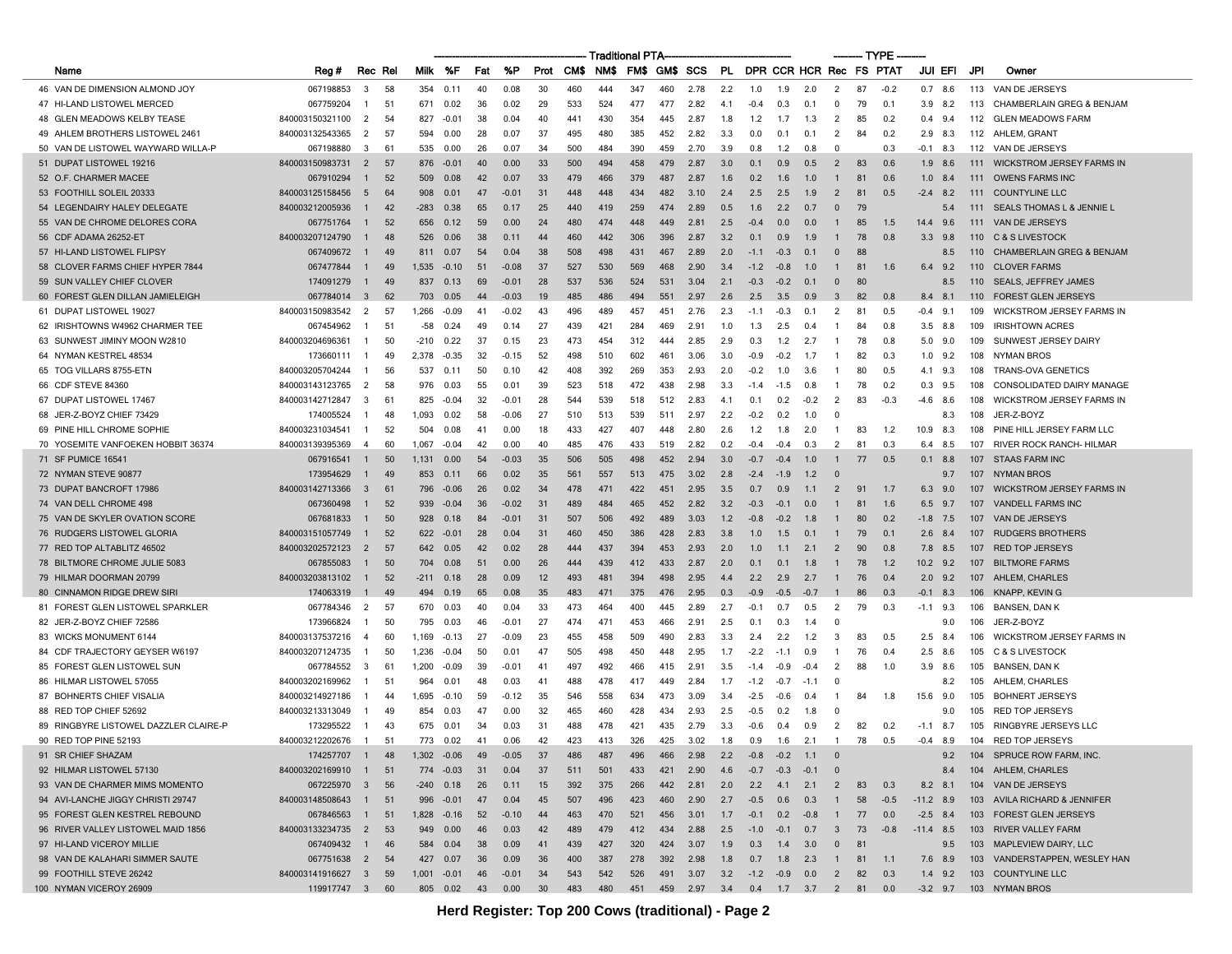|                                       |                   |                  |    |               |           |     |         |     |           | Traditional PTA |     |     |                                           |     |                         |        |        |                         |    | — TYPE - |                 |     |                                      |
|---------------------------------------|-------------------|------------------|----|---------------|-----------|-----|---------|-----|-----------|-----------------|-----|-----|-------------------------------------------|-----|-------------------------|--------|--------|-------------------------|----|----------|-----------------|-----|--------------------------------------|
| Name                                  | Reg#              | Rec Rel          |    | Milk          | %F        | Fat | %P      |     | Prot CM\$ | NMS.            | FMS |     | GM\$ SCS                                  | PL  | DPR CCR HCR Rec FS PTAT |        |        |                         |    |          | JUI EFI         | JPI | Owner                                |
| 46 VAN DE DIMENSION ALMOND JOY        | 067198853         | 3                | 58 | 354           | 0.11      | 40  | 0.08    | 30  | 460       | 444             | 347 | 460 | 2.78                                      | 2.2 | 1.0                     | 1.9    | 2.0    | $\overline{2}$          | 87 | $-0.2$   | 0.7<br>8.6      | 113 | VAN DE JERSEYS                       |
| 47 HI-LAND LISTOWEL MERCED            | 067759204         | -1               | 51 | 671           | 0.02      | 36  | 0.02    | 29  | 533       | 524             | 477 | 477 | 2.82                                      | 4.1 | $-0.4$                  | 0.3    | 0.1    | 0                       | 79 | 0.1      | $3.9$ $8.2$     | 113 | CHAMBERLAIN GREG & BENJAM            |
| 48 GLEN MEADOWS KELBY TEASE           | 840003150321100   | 2                | 54 | 827           | $-0.01$   | 38  | 0.04    | 40  | 441       | 430             | 354 | 445 | 2.87                                      | 1.8 | 1.2                     | 1.7    | 1.3    | 2                       | 85 | 0.2      | 9.4<br>0.4      | 112 | <b>GLEN MEADOWS FARM</b>             |
| 49 AHLEM BROTHERS LISTOWEL 2461       | 840003132543365   | $\overline{2}$   | 57 | 594           | 0.00      | 28  | 0.07    | 37  | 495       | 480             | 385 | 452 | 2.82                                      | 3.3 | 0.0                     | 0.1    | 0.1    | 2                       | 84 | 0.2      | 2.9<br>8.3      | 112 | AHLEM, GRANT                         |
| 50 VAN DE LISTOWEL WAYWARD WILLA-P    | 067198880         | 3                | 61 | 535           | 0.00      | 26  | 0.07    | 34  | 500       | 484             | 390 | 459 | 2.70                                      | 3.9 | 0.8                     | 1.2    | 0.8    | $\Omega$                |    | 0.3      | $-0.1$ 8.3      | 112 | VAN DE JERSEYS                       |
| 51 DUPAT LISTOWEL 19216               | 840003150983731   | $\overline{2}$   | 57 | 876           | $-0.01$   | 40  | 0.00    | 33  | 500       | 494             | 458 | 479 | 2.87                                      | 3.0 | 0.1                     | 0.9    | 0.5    | $\overline{2}$          | 83 | 0.6      | 1.9<br>-8.6     | 111 | <b>WICKSTROM JERSEY FARMS IN</b>     |
| 52 O.F. CHARMER MACEE                 | 067910294         | -1               | 52 | 509           | 0.08      | 42  | 0.07    | 33  | 479       | 466             | 379 | 487 | 2.87                                      | 1.6 | 0.2                     | 1.6    | 1.0    | 1                       | 81 | 0.6      | $1.0\quad 8.4$  | 111 | <b>OWENS FARMS INC</b>               |
| 53 FOOTHILL SOLEIL 20333              | 840003125158456   | 5                | 64 | 908           | 0.01      | 47  | -0.01   | 31  | 448       | 448             | 434 | 482 | 3.10                                      | 2.4 | 2.5                     | 2.5    | 1.9    | $\overline{2}$          | 81 | 0.5      | $-2.4$<br>8.2   | 111 | <b>COUNTYLINE LLC</b>                |
| 54 LEGENDAIRY HALEY DELEGATE          | 840003212005936   | -1               | 42 | $-283$        | 0.38      | 65  | 0.17    | 25  | 440       | 419             | 259 | 474 | 2.89                                      | 0.5 | 1.6                     | 2.2    | 0.7    | $\mathbf{0}$            | 79 |          | 5.4             | 111 | <b>SEALS THOMAS L &amp; JENNIE L</b> |
| 55 VAN DE CHROME DELORES CORA         | 067751764         | -1               | 52 | 656           | 0.12      | 59  | 0.00    | 24  | 480       | 474             | 448 | 449 | 2.81                                      | 2.5 | $-0.4$                  | 0.0    | 0.0    | -1                      | 85 | 1.5      | 9.6<br>14.4     | 111 | VAN DE JERSEYS                       |
| 56 CDF ADAMA 26252-ET                 | 840003207124790   |                  | 48 | 526           | 0.06      | 38  | 0.11    | 44  | 460       | 442             | 306 | 396 | 2.87                                      | 3.2 | 0.1                     | 0.9    | 1.9    |                         | 78 | 0.8      | 3.3<br>9.8      | 110 | C & S LIVESTOCK                      |
| 57 HI-LAND LISTOWEL FLIPSY            | 067409672         | -1               | 49 | 811           | 0.07      | -54 | 0.04    | 38  | 508       | 498             | 431 | 467 | 2.89                                      | 2.0 | $-1.1$                  | $-0.3$ | 0.1    | $\Omega$                | 88 |          | 8.5             | 110 | <b>CHAMBERLAIN GREG &amp; BENJAM</b> |
| 58 CLOVER FARMS CHIEF HYPER 7844      | 067477844         | -1               | 49 | 1,535         | $-0.10$   | 51  | $-0.08$ | 37  | 527       | 530             | 569 | 468 | 2.90                                      | 3.4 | $-1.2$                  | -0.8   | 1.0    | -1                      | 81 | 1.6      | 9.2<br>6.4      | 110 | <b>CLOVER FARMS</b>                  |
| 59 SUN VALLEY CHIEF CLOVER            | 174091279         | $\overline{1}$   | 49 | 837           | 0.13      | 69  | $-0.01$ | 28  | 537       | 536             | 524 | 531 | 3.04                                      | 2.1 | $-0.3$                  | $-0.2$ | 0.1    | $\mathbf{0}$            | 80 |          | 8.5             | 110 | <b>SEALS, JEFFREY JAMES</b>          |
| 60 FOREST GLEN DILLAN JAMIELEIGH      | 067784014         | $_{3}$           | 62 | 703           | 0.05      | 44  | $-0.03$ | 19  | 485       | 486             | 494 | 551 | 2.97                                      | 2.6 | 2.5                     | 3.5    | 0.9    | $\overline{\mathbf{3}}$ | 82 | 0.8      | 8.4<br>8.1      | 110 | <b>FOREST GLEN JERSEYS</b>           |
| 61 DUPAT LISTOWEL 19027               | 840003150983542   | $\overline{2}$   | 57 | 1,266         | -0.09     | 41  | $-0.02$ | 43  | 496       | 489             | 457 | 451 | 2.76                                      | 2.3 | $-1.1$                  | -0.3   | 0.1    | $\overline{2}$          | 81 | 0.5      | $-0.4$<br>9.1   | 109 | WICKSTROM JERSEY FARMS IN            |
| 62 IRISHTOWNS W4962 CHARMER TEE       | 067454962         | -1               | 51 | -58           | 0.24      | 49  | 0.14    | 27  | 439       | 421             | 284 | 469 | 2.91                                      | 1.0 | 1.3                     | 2.5    | 0.4    | $\mathbf{1}$            | 84 | 0.8      | 8.8<br>3.5      | 109 | <b>IRISHTOWN ACRES</b>               |
| 63 SUNWEST JIMINY MOON W2810          | 840003204696361   | -1               | 50 | $-210$        | 0.22      | 37  | 0.15    | 23  | 473       | 454             | 312 | 444 | 2.85                                      | 2.9 | 0.3                     | 1.2    | 2.7    | -1                      | 78 | 0.8      | 5.0<br>9.0      | 109 | SUNWEST JERSEY DAIRY                 |
| 64 NYMAN KESTREL 48534                | 173660111         | - 1              | 49 | 2,378         | $-0.35$   | 32  | $-0.15$ | 52  | 498       | 510             | 602 | 461 | 3.06                                      | 3.0 | $-0.9$                  | $-0.2$ | -1.7   | -1                      | 82 | 0.3      | $1.0$ $9.2$     | 108 | <b>NYMAN BROS</b>                    |
| 65 TOG VILLARS 8755-ETN               | 840003205704244   |                  | 56 | 537           | 0.11      | 50  | 0.10    | 42  | 408       | 392             | 269 | 353 | 2.93                                      | 2.0 | $-0.2$                  | 1.0    | 3.6    | -1                      | 80 | 0.5      | 9.3<br>4.1      | 108 | <b>TRANS-OVA GENETICS</b>            |
| 66 CDF STEVE 84360                    | 840003143123765   | 2                | 58 | 976           | 0.03      | 55  | 0.01    | 39  | 523       | 518             | 472 | 438 | 2.98                                      | 3.3 | $-1.4$                  | $-1.5$ | 0.8    | - 1                     | 78 | 0.2      | 0.3<br>9.5      | 108 | CONSOLIDATED DAIRY MANAGE            |
| 67 DUPAT LISTOWEL 17467               | 840003142712847   | 3                | 61 | 825           | $-0.04$   | 32  | $-0.01$ | 28  | 544       | 539             | 518 | 512 | 2.83                                      | 4.1 | 0.1                     | 0.2    | $-0.2$ | $\overline{2}$          | 83 | $-0.3$   | 8.6<br>-4.6     | 108 | <b>WICKSTROM JERSEY FARMS IN</b>     |
| 68 JER-Z-BOYZ CHIEF 73429             | 174005524         | -1               | 48 | 1,093         | 0.02      | 58  | -0.06   | 27  | 510       | 513             | 539 | 511 | 2.97                                      | 2.2 | $-0.2$                  | 0.2    | 1.0    | $\mathbf{0}$            |    |          | 8.3             | 108 | JER-Z-BOYZ                           |
| 69 PINE HILL CHROME SOPHIE            | 840003231034541   | -1               | 52 | 504           | 0.08      | 41  | 0.00    | 18  | 433       | 427             | 407 | 448 | 2.80                                      | 2.6 | 1.2                     | 1.8    | 2.0    | -1                      | 83 | 1.2      | 10.9<br>8.3     | 108 | PINE HILL JERSEY FARM LLC            |
| 70 YOSEMITE VANFOEKEN HOBBIT 36374    | 840003139395369   | $\overline{A}$   | 60 | 1,067         | -0.04     | 42  | 0.00    | 40  | 485       | 476             | 433 | 519 | 2.82                                      | 0.2 | -0.4                    | -0.4   | 0.3    | $\overline{2}$          | 81 | 0.3      | 8.5<br>6.4      | 107 | RIVER ROCK RANCH- HILMAR             |
| 71 SF PUMICE 16541                    | 067916541         | -1               | 50 | 1,131         | 0.00      | 54  | -0.03   | 35  | 506       | 505             | 498 | 452 | 2.94                                      | 3.0 | $-0.7$                  | -0.4   | 1.0    |                         | 77 | 0.5      | 0.1<br>8.8      | 107 | <b>STAAS FARM INC</b>                |
| 72 NYMAN STEVE 90877                  | 173954629         | -1               | 49 | 853           | 0.11      | 66  | 0.02    | 35  | 561       | 557             | 513 | 475 | 3.02                                      | 2.8 | $-2.4$                  | $-1.9$ | 1.2    | - 0                     |    |          | 9.7             | 107 | NYMAN BROS                           |
| 73 DUPAT BANCROFT 17986               | 840003142713366   | $\mathbf{3}$     | 61 | 796           | $-0.06$   | 26  | 0.02    | 34  | 478       | 471             | 422 | 451 | 2.95                                      | 3.5 | 0.7                     | 0.9    | 1.1    | $\overline{2}$          | 91 | 1.7      | 6.3<br>9.0      | 107 | <b>WICKSTROM JERSEY FARMS IN</b>     |
| 74 VAN DELL CHROME 498                | 067360498         |                  | 52 | 939           | $-0.04$   | 36  | -0.02   | 31  | 489       | 484             | 465 | 452 | 2.82                                      | 3.2 | $-0.3$                  | $-0.1$ | 0.0    |                         | 81 | 1.6      | 9.7<br>6.5      | 107 | <b>VANDELL FARMS INC</b>             |
| 75 VAN DE SKYLER OVATION SCORE        | 067681833         | -1               | 50 | 928           | 0.18      | -84 | $-0.01$ | -31 | 507       | 506             | 492 | 489 | 3.03                                      | 1.2 | $-0.8$                  | $-0.2$ | 1.8    | -1                      | 80 | 0.2      | $-1.8$<br>7.5   | 107 | VAN DE JERSEYS                       |
| 76 RUDGERS LISTOWEL GLORIA            | 840003151057749   | -1               | 52 | 622           | $-0.01$   | 28  | 0.04    | 31  | 460       | 450             | 386 | 428 | 2.83                                      | 3.8 | 1.0                     | 1.5    | 0.1    | -1                      | 79 | 0.1      | 2.6<br>- 8.4    | 107 | <b>RUDGERS BROTHERS</b>              |
| 77 RED TOP ALTABLITZ 46502            | 840003202572123   | $\overline{2}$   | 57 | 642           | 0.05      | 42  | 0.02    | 28  | 444       | 437             | 394 | 453 | 2.93                                      | 2.0 | 1.0                     | 1.1    | 2.1    | $\overline{2}$          | 90 | 0.8      | 8.5<br>7.8      | 107 | <b>RED TOP JERSEYS</b>               |
| 78 BILTMORE CHROME JULIE 5083         | 067855083         | -1               | 50 | 704           | 0.08      | 51  | 0.00    | 26  | 444       | 439             | 412 | 433 | 2.87                                      | 2.0 | 0.1                     | 0.1    | 1.8    | $\mathbf{1}$            | 78 | 1.2      | 10.2<br>9.2     | 107 | <b>BILTMORE FARMS</b>                |
| 79 HILMAR DOORMAN 20799               | 840003203813102   | -1               | 52 | -211          | 0.18      | 28  | 0.09    | 12  | 493       | 481             | 394 | 498 | 2.95                                      | 4.4 | 2.2                     | 2.9    | 2.7    | -1                      | 76 | 0.4      | 2.0<br>9.2      | 107 | AHLEM, CHARLES                       |
| 80 CINNAMON RIDGE DREW SIRI           | 174063319         | -1               | 49 | 494           | 0.19      | 65  | 0.08    | 35  | 483       |                 | 375 | 476 | 2.95                                      | 0.3 | $-0.9$                  | $-0.5$ | $-0.7$ |                         | 86 | 0.3      | $-0.1$<br>8.3   | 106 | KNAPP, KEVIN G                       |
| 81 FOREST GLEN LISTOWEL SPARKLER      | 067784346         | $\overline{2}$   | 57 | 670           | 0.03      | 40  | 0.04    | 33  | 473       | 464             | 400 | 445 | 2.89                                      | 2.7 | $-0.1$                  | 0.7    | 0.5    | $\overline{2}$          | 79 | 0.3      | $-1.1$ 9.3      | 106 | BANSEN, DAN K                        |
| 82 JER-Z-BOYZ CHIEF 72586             | 173966824         | -1               | 50 | 795           | 0.03      | 46  | $-0.01$ | 27  | 474       | 471             | 453 | 466 | 2.91                                      | 2.5 | 0.1                     | 0.3    | 1.4    | $\Omega$                |    |          | 9.0             | 106 | JER-Z-BOYZ                           |
| 83 WICKS MONUMENT 6144                | 840003137537216   | $\overline{4}$   | 60 | 1,169         | $-0.13$   | 27  | -0.09   | 23  | 455       | 458             | 509 | 490 | 2.83                                      | 3.3 | 2.4                     | 2.2    | 1.2    | 3                       | 83 | 0.5      | 2.5<br>8.4      | 106 | <b>WICKSTROM JERSEY FARMS IN</b>     |
| 84 CDF TRAJECTORY GEYSER W6197        | 840003207124735   | -1               | 50 | 1,236         | $-0.04$   | 50  | 0.01    | 47  | 505       | 498             | 450 | 448 | 2.95                                      | 1.7 | $-2.2$                  | $-1.1$ | 0.9    | - 1                     | 76 | 0.4      | 2.5<br>8.6      | 105 | <b>C &amp; S LIVESTOCK</b>           |
| 85 FOREST GLEN LISTOWEL SUN           | 067784552         | 3                | 61 | 1,200         | -0.09     | -39 | $-0.01$ | 41  | 497       | 492             | 466 | 415 | 2.91                                      | 3.5 | $-1.4$                  | -0.9   | $-0.4$ | -2                      | 88 | 1.0      | 3.9<br>8.6      | 105 | BANSEN, DAN K                        |
| 86 HILMAR LISTOWEL 57055              | 840003202169962   |                  | 51 | 964           | 0.01      | 48  | 0.03    | 41  | 488       | 478             | 417 | 449 | 2.84                                      | 1.7 | $-1.2$                  | $-0.7$ | $-1.1$ | - 0                     |    |          | 8.2             | 105 | AHLEM, CHARLES                       |
| 87 BOHNERTS CHIEF VISALIA             | 840003214927186   |                  | 44 | 1.695         | $-0.10$   | 59  | $-0.12$ | 35  | 546       | 558             | 634 | 473 | 3.09                                      | 3.4 | $-2.5$                  | $-0.6$ | 0.4    | -1                      | 84 | 1.8      | 15.6<br>9.0     | 105 | <b>BOHNERT JERSEYS</b>               |
| 88 RED TOP CHIEF 52692                | 840003213313049   |                  | 49 | 854           | 0.03      | 47  | 0.00    | 32  | 465       | 460             | 428 | 434 | 2.93                                      | 2.5 | -0.5                    | 0.2    | 1.8    | - 0                     |    |          | 9.0             | 105 | <b>RED TOP JERSEYS</b>               |
| 89 RINGBYRE LISTOWEL DAZZLER CLAIRE-P | 173295522         | -1               | 43 | 675           | 0.01      | 34  | 0.03    | 31  | 488       | 478             | 421 | 435 | 2.79                                      | 3.3 | -0.6                    | 0.4    | 0.9    | $\overline{2}$          | 82 | 0.2      | $-1.1$<br>- 8.7 | 105 | RINGBYRE JERSEYS LLC                 |
| 90 RED TOP PINE 52193                 | 840003212202676   | -1               | 51 | 773           | 0.02      | 41  | 0.06    | 42  | 423       | 413             | 326 | 425 | 3.02                                      | 1.8 | 0.9                     | 1.6    | 2.1    | $\overline{1}$          | 78 | 0.5      | $-0.4$<br>8.9   | 104 | <b>RED TOP JERSEYS</b>               |
| 91 SR CHIEF SHAZAM                    | 174257707         | $\blacksquare$ 1 | 48 | 1,302         | $-0.06$   | 49  | $-0.05$ | 37  | 486       | 487             | 496 | 466 | 2.98                                      | 2.2 | $-0.8$                  | $-0.2$ | 1.1    | $\overline{\mathbf{0}}$ |    |          | 9.2             |     | 104 SPRUCE ROW FARM, INC.            |
| 92 HILMAR LISTOWEL 57130              | 840003202169910   | $\overline{1}$   | 51 |               | 774 -0.03 | 31  | 0.04    | 37  | 511       | 501             | 433 | 421 | 2.90                                      | 4.6 | $-0.7$                  | $-0.3$ | $-0.1$ | $\overline{\mathbf{0}}$ |    |          | 8.4             |     | 104 AHLEM, CHARLES                   |
| 93 VAN DE CHARMER MIMS MOMENTO        | 067225970 3       |                  | 56 | $-240$ 0.18   |           | 26  | 0.11    | 15  | 392       | 375             | 266 | 442 | 2.81                                      | 2.0 | 2.2                     | 4.1    | 2.1    | $\overline{2}$          | 83 | 0.3      | $8.2$ $8.1$     |     | 104 VAN DE JERSEYS                   |
| 94 AVI-LANCHE JIGGY CHRISTI 29747     | 840003148508643   | $\overline{1}$   | 51 | 996           | $-0.01$   | 47  | 0.04    | 45  | 507       | 496             | 423 | 460 | 2.90                                      | 2.7 | $-0.5$                  | 0.6    | 0.3    | $\overline{1}$          | 58 | $-0.5$   | $-11.2$ 8.9     |     | 103 AVILA RICHARD & JENNIFER         |
| 95 FOREST GLEN KESTREL REBOUND        | 067846563         | $\overline{1}$   | 51 | 1,828         | $-0.16$   | 52  | $-0.10$ | 44  | 463       | 470             | 521 | 456 | 3.01                                      | 1.7 | $-0.1$                  | 0.2    | $-0.8$ | $\overline{1}$          | 77 | 0.0      | $-2.5$ 8.4      | 103 | <b>FOREST GLEN JERSEYS</b>           |
| 96 RIVER VALLEY LISTOWEL MAID 1856    | 840003133234735   | $\overline{2}$   | 53 | 949           | 0.00      | 46  | 0.03    | 42  | 489       | 479             | 412 | 434 | 2.88                                      | 2.5 | $-1.0$                  | $-0.1$ | 0.7    | $\mathbf{3}$            | 73 | $-0.8$   | $-11.4$ 8.5     | 103 | <b>RIVER VALLEY FARM</b>             |
| 97 HI-LAND VICEROY MILLIE             | 067409432         | $\overline{1}$   | 46 | 584           | 0.04      | 38  | 0.09    | 41  | 439       | 427             | 320 | 424 | 3.07                                      | 1.9 | 0.3                     | 1.4    | 3.0    | $\mathbf 0$             | 81 |          | 9.5             | 103 | MAPLEVIEW DAIRY, LLC                 |
| 98 VAN DE KALAHARI SIMMER SAUTE       | 067751638 2       |                  | 54 | 427 0.07      |           | 36  | 0.09    | 36  | 400       | 387             | 278 | 392 | 2.98                                      | 1.8 | 0.7                     | 1.8    | 2.3    | $\overline{1}$          | 81 | 1.1      | 7.6 8.9         |     | 103 VANDERSTAPPEN, WESLEY HAN        |
| 99 FOOTHILL STEVE 26242               | 840003141916627 3 |                  | 59 | $1,001 -0.01$ |           | 46  | $-0.01$ | 34  | 543       | 542             | 526 | 491 | 3.07                                      | 3.2 | $-1.2 -0.9$             |        | 0.0    | $\overline{2}$          | 82 | 0.3      | $1.4$ 9.2       | 103 | <b>COUNTYLINE LLC</b>                |
| 100 NYMAN VICEROY 26909               | 119917747 3 60    |                  |    |               | 805 0.02  | 43  | 0.00    | 30  | 483       | 480             | 451 |     | 459  2.97  3.4  0.4  1.7  3.7  2  81  0.0 |     |                         |        |        |                         |    |          | $-3.2$ 9.7      |     | 103 NYMAN BROS                       |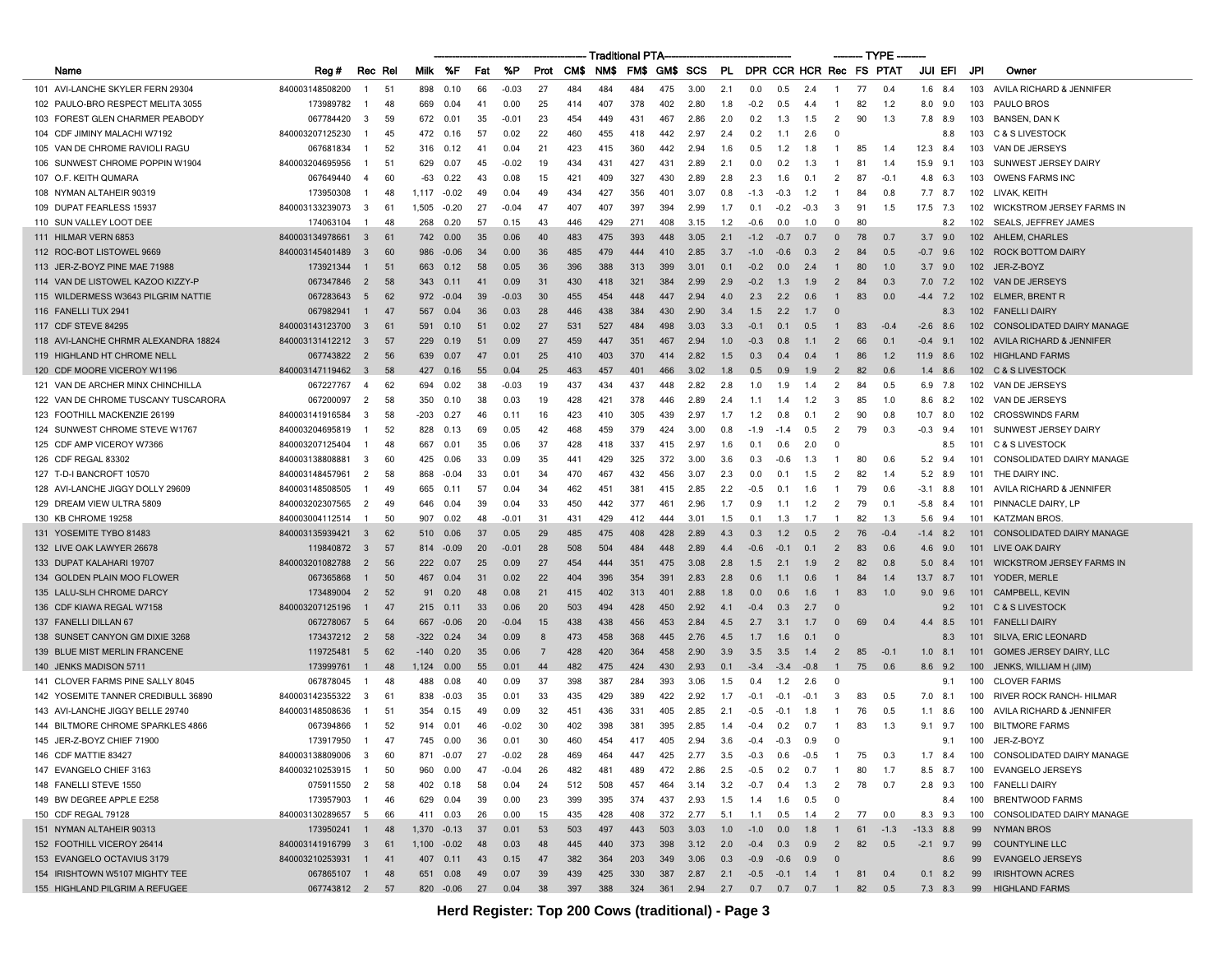|                                      |                 |                  |    |        |           |              |         |                |      | Traditional PTA |      |      |          |     |                   |            |                         |                |     | – TYPE |             |            |                                         |
|--------------------------------------|-----------------|------------------|----|--------|-----------|--------------|---------|----------------|------|-----------------|------|------|----------|-----|-------------------|------------|-------------------------|----------------|-----|--------|-------------|------------|-----------------------------------------|
| Name                                 | Reg #           | Rec Rel          |    | Milk   | %F        | Fat          | %P      | Prot           | CM\$ | NM\$            | FM\$ | GM\$ | SCS      | PL  |                   |            | DPR CCR HCR Rec FS PTAT |                |     |        | JUI EFI     |            | JPI<br>Owner                            |
| 101 AVI-LANCHE SKYLER FERN 29304     | 840003148508200 | $\mathbf{1}$     | 51 | 898    | 0.10      | 66           | $-0.03$ | 27             | 484  | 484             | 484  | 475  | 3.00     | 2.1 | 0.0               | 0.5        | 2.4                     | -1             | 77  | 0.4    | 1.6         | 8.4        | 103<br>AVILA RICHARD & JENNIFER         |
| 102 PAULO-BRO RESPECT MELITA 3055    | 173989782       | -1               | 48 | 669    | 0.04      | 41           | 0.00    | 25             | 414  | 407             | 378  | 402  | 2.80     | 1.8 | $-0.2$            | 0.5        | 4.4                     | -1             | 82  | 1.2    | 8.0         | 9.0        | 103<br><b>PAULO BROS</b>                |
| 103 FOREST GLEN CHARMER PEABODY      | 067784420       | 3                | 59 | 672    | 0.01      | 35           | $-0.01$ | 23             | 454  | 449             | 431  | 467  | 2.86     | 2.0 | 0.2               | 1.3        | 1.5                     | $\overline{2}$ | 90  | 1.3    | 7.8         | 8.9        | 103<br>BANSEN, DAN K                    |
| 104 CDF JIMINY MALACHI W7192         | 840003207125230 | -1               | 45 | 472    | 0.16      | 57           | 0.02    | 22             | 460  | 455             | 418  | 442  | 2.97     | 2.4 | 0.2               | 1.1        | 2.6                     | - 0            |     |        |             | 8.8        | 103<br>C & S LIVESTOCK                  |
| 105 VAN DE CHROME RAVIOLI RAGU       | 067681834       | -1               | 52 | 316    | 0.12      | $\mathbf{4}$ | 0.04    | 21             | 423  | 415             | 360  | 442  | 2.94     | 1.6 | 0.5               | 1.2        | 1.8                     | $\mathbf{1}$   | 85  | 1.4    | 12.3        | -8.4       | 103<br>VAN DE JERSEYS                   |
| 106 SUNWEST CHROME POPPIN W1904      | 840003204695956 |                  | 51 | 629    | 0.07      | 45           | $-0.02$ | 19             | 434  | 431             | 427  | 431  | 2.89     | 2.1 | 0.0               | 0.2        | 1.3                     | -1             | 81  | 1.4    | 15.9        | 9.1        | 103<br>SUNWEST JERSEY DAIRY             |
| 107 O.F. KEITH QUMARA                | 067649440       | 4                | 60 | -63    | 0.22      | 43           | 0.08    | 15             | 421  | 409             | 327  | 430  | 2.89     | 2.8 | 2.3               | 1.6        | 0.1                     | $\overline{2}$ | 87  | $-0.1$ | 4.8         | 6.3        | 103<br><b>OWENS FARMS INC</b>           |
| 108 NYMAN ALTAHEIR 90319             | 173950308       | -1               | 48 | 1,117  | $-0.02$   | 49           | 0.04    | 49             | 434  | 427             | 356  | 401  | 3.07     | 0.8 | $-1.3$            | $-0.3$     | 1.2                     | -1             | 84  | 0.8    | 7.7 8.7     |            | 102<br>LIVAK, KEITH                     |
| 109 DUPAT FEARLESS 15937             | 840003133239073 | 3                | 61 | 1,505  | $-0.20$   | 27           | $-0.04$ | 47             | 407  | 407             | 397  | 394  | 2.99     | 1.7 | 0.1               | $-0.2$     | $-0.3$                  | 3              | 91  | 1.5    | 17.5        | 7.3        | 102<br><b>WICKSTROM JERSEY FARMS IN</b> |
| 110 SUN VALLEY LOOT DEE              | 174063104       | -1               | 48 | 268    | 0.20      | 57           | 0.15    | 43             | 446  | 429             | 271  | 408  | 3.15     | 1.2 | $-0.6$            | 0.0        | 1.0                     | $^{\circ}$     | 80  |        |             | 8.2        | 102<br>SEALS, JEFFREY JAMES             |
| 111 HILMAR VERN 6853                 | 840003134978661 | 3                | 61 | 742    | 0.00      | 35           | 0.06    | 40             | 483  | 475             | 393  | 448  | 3.05     | 2.1 | $-1.2$            | $-0.7$     | 0.7                     | 0              | 78  | 0.7    | 3.7         | 9.0        | 102<br>AHLEM, CHARLES                   |
| 112 ROC-BOT LISTOWEL 9669            | 840003145401489 | 3                | 60 | 986    | $-0.06$   | 34           | 0.00    | 36             | 485  | 479             | 444  | 410  | 2.85     | 3.7 | $-1.0$            | $-0.6$     | 0.3                     | $\overline{2}$ | 84  | 0.5    | $-0.7$      | 96         | 102<br><b>ROCK BOTTOM DAIRY</b>         |
| 113 JER-Z-BOYZ PINE MAE 71988        | 173921344       | -1               | 51 | 663    | 0.12      | 58           | 0.05    | 36             | 396  | 388             | 313  | 399  | 3.01     | 0.1 | $-0.2$            | 0.0        | 2.4                     | $\mathbf{1}$   | 80  | 1.0    | $3.7$ 9.0   |            | 102<br>JER-Z-BOYZ                       |
| 114 VAN DE LISTOWEL KAZOO KIZZY-P    | 067347846       | $\overline{2}$   | 58 | 343    | 0.11      | 41           | 0.09    | 31             | 430  | 418             | 321  | 384  | 2.99     | 2.9 | $-0.2$            | 1.3        | 1.9                     | $\overline{2}$ | 84  | 0.3    | 7.0         | 7.2        | 102<br>VAN DE JERSEYS                   |
| 115 WILDERMESS W3643 PILGRIM NATTIE  | 067283643       | 5                | 62 | 972    | $-0.04$   | 39           | $-0.03$ | 30             | 455  | 454             | 448  | 447  | 2.94     | 4.0 | 2.3               | 2.2        | 0.6                     | $\overline{1}$ | 83  | 0.0    | $-4.4$      | 7.2        | 102<br>ELMER, BRENT R                   |
| 116 FANELLI TUX 2941                 | 067982941       | $\mathbf{1}$     | 47 | 567    | 0.04      | 36           | 0.03    | 28             | 446  | 438             | 384  | 430  | 2.90     | 3.4 | 1.5               | 2.2        | 1.7                     | $\Omega$       |     |        |             | 8.3        | 102<br><b>FANELLI DAIRY</b>             |
| 117 CDF STEVE 84295                  | 840003143123700 | $\mathbf{3}$     | 61 | 591    | 0.10      | 51           | 0.02    | 27             | 531  | 527             | 484  | 498  | 3.03     | 3.3 | $-0.1$            | 0.1        | 0.5                     | -1             | 83  | $-0.4$ | $-2.6$      | 8.6        | 102<br>CONSOLIDATED DAIRY MANAGE        |
| 118 AVI-LANCHE CHRMR ALEXANDRA 18824 | 840003131412212 | $\mathbf{3}$     | 57 | 229    | 0.19      | 51           | 0.09    | 27             | 459  | 447             | 351  | 467  | 2.94     | 1.0 | $-0.3$            | 0.8        | 1.1                     | -2             | 66  | 0.1    | $-0.4$      | 9.1        | 102<br>AVILA RICHARD & JENNIFER         |
| 119 HIGHLAND HT CHROME NELL          | 067743822       | $\overline{2}$   | 56 | 639    | 0.07      | 47           | 0.01    | 25             | 410  | 403             | 370  | 414  | 2.82     | 1.5 | 0.3               | 0.4        | 0.4                     | $\overline{1}$ | 86  | 1.2    | 11.9        | 8.6        | 102<br><b>HIGHLAND FARMS</b>            |
| 120 CDF MOORE VICEROY W1196          | 840003147119462 | $\mathbf{3}$     | 58 | 427    | 0.16      | 55           | 0.04    | 25             | 463  | 457             | 401  | 466  | 3.02     | 1.8 | 0.5               | 0.9        | 1.9                     | $\overline{2}$ | 82  | 0.6    | 1.4         | 8.6        | 102<br><b>C &amp; S LIVESTOCK</b>       |
| 121 VAN DE ARCHER MINX CHINCHILLA    | 067227767       | -4               | 62 | 694    | 0.02      | 38           | $-0.03$ | 19             | 437  | 434             | 437  | 448  | 2.82     | 2.8 | 1.0               | 1.9        | 1.4                     | $\overline{2}$ | 84  | 0.5    | 6.9         | 7.8        | 102<br>VAN DE JERSEYS                   |
| 122 VAN DE CHROME TUSCANY TUSCARORA  | 067200097       | $\overline{2}$   | 58 | 350    | 0.10      | 38           | 0.03    | 19             | 428  | 421             | 378  | 446  | 2.89     | 2.4 | 1.1               | 1.4        | 1.2                     | 3              | 85  | 1.0    | 8.6         | 8.2        | 102<br>VAN DE JERSEYS                   |
| 123 FOOTHILL MACKENZIE 26199         | 840003141916584 | 3                | 58 | $-203$ | 0.27      | 46           | 0.11    | 16             | 423  | 410             | 305  | 439  | 2.97     | 1.7 | 1.2               | 0.8        | 0.1                     | $\overline{2}$ | 90  | 0.8    | 10.7        | 8.0        | 102<br><b>CROSSWINDS FARM</b>           |
| 124 SUNWEST CHROME STEVE W1767       | 840003204695819 |                  | 52 | 828    | 0.13      | 69           | 0.05    | 42             | 468  | 459             | 379  | 424  | 3.00     | 0.8 | $-1.9$            | $-1.4$     | 0.5                     | $\overline{2}$ | 79  | 0.3    | $-0.3$      | 9.4        | 101<br>SUNWEST JERSEY DAIRY             |
| 125 CDF AMP VICEROY W7366            | 840003207125404 |                  | 48 | 667    | 0.01      | 35           | 0.06    | 37             | 428  | 418             | 337  | 415  | 2.97     | 1.6 | 0.1               | 0.6        | 2.0                     | $\Omega$       |     |        |             | 8.5        | 101<br><b>C &amp; S LIVESTOCK</b>       |
| 126 CDF REGAL 83302                  | 840003138808881 | 3                | 60 | 425    | 0.06      | 33           | 0.09    | 35             | 441  | 429             | 325  | 372  | 3.00     | 3.6 | 0.3               | $-0.6$     | 1.3                     | -1             | 80  | 0.6    | 5.2         | 9.4        | 101<br>CONSOLIDATED DAIRY MANAGE        |
| 127 T-D-I BANCROFT 10570             | 840003148457961 | $\overline{2}$   | 58 | 868    | $-0.04$   | 33           | 0.01    | 34             | 470  | 467             | 432  | 456  | 3.07     | 2.3 | 0.0               | 0.1        | 1.5                     | $\overline{2}$ | 82  | 1.4    | 5.2         | 8.9        | 101<br>THE DAIRY INC.                   |
| 128 AVI-LANCHE JIGGY DOLLY 29609     | 840003148508505 | -1               | 49 | 665    | 0.11      | 57           | 0.04    | 34             | 462  | 451             | 381  | 415  | 2.85     | 2.2 | $-0.5$            | 0.1        | 1.6                     | -1             | 79  | 0.6    | $-3.1$      | 8.8        | 101<br>AVILA RICHARD & JENNIFER         |
| 129 DREAM VIEW ULTRA 5809            | 840003202307565 | $\overline{2}$   | 49 | 646    | 0.04      | 39           | 0.04    | 33             | 450  | 442             | 377  | 461  | 2.96     | 1.7 | 0.9               | 1.1        | 1.2                     | $\overline{2}$ | 79  | 0.1    | -5.8        | -8.4       | 101<br>PINNACLE DAIRY, LP               |
| 130 KB CHROME 19258                  | 840003004112514 | -1               | 50 | 907    | 0.02      | 48           | $-0.01$ | 31             | 431  | 429             | 412  | 444  | 3.01     | 1.5 | 0.1               | 1.3        | 1.7                     |                | 82  | 1.3    | 5.6         | 9.4        | 101<br><b>KATZMAN BROS</b>              |
| 131 YOSEMITE TYBO 81483              | 840003135939421 | 3                | 62 | 510    | 0.06      | 37           | 0.05    | 29             | 485  | 475             | 408  | 428  | 2.89     | 4.3 | 0.3               | 1.2        | 0.5                     | $\overline{2}$ | 76  | $-0.4$ | -1.4        | 8.2        | CONSOLIDATED DAIRY MANAGE<br>101        |
| 132 LIVE OAK LAWYER 26678            | 119840872       | $\mathbf{3}$     | 57 | 814    | $-0.09$   | 20           | -0.01   | 28             | 508  | 504             | 484  | -448 | 2.89     | 4.4 | $-0.6$            | $-0.1$     | 0.1                     | $\overline{2}$ | 83  | 0.6    | 4.6         | 9.0        | 101<br>LIVE OAK DAIRY                   |
| 133 DUPAT KALAHARI 19707             | 840003201082788 | $\overline{2}$   | 56 | 222    | 0.07      | 25           | 0.09    | 27             | 454  | 444             | 351  | 475  | 3.08     | 2.8 | 1.5               | 2.1        | 1.9                     | $\overline{2}$ | 82  | 0.8    | 5.0         | 8.4        | 101<br><b>WICKSTROM JERSEY FARMS IN</b> |
| 134 GOLDEN PLAIN MOO FLOWER          | 067365868       | -1               | 50 | 467    | 0.04      | 31           | 0.02    | 22             | 404  | 396             | 354  | 391  | 2.83     | 2.8 | 0.6               | 1.1        | 0.6                     | $\overline{1}$ | -84 | 1.4    | 13.7        | 8.7        | 101<br>YODER, MERLE                     |
| 135 LALU-SLH CHROME DARCY            | 173489004       | $\overline{2}$   | 52 | -91    | 0.20      | 48           | 0.08    | 21             | 415  | 402             | 313  | 401  | 2.88     | 1.8 | 0.0               | 0.6        | 1.6                     |                | 83  | 1.0    | 9.0         | 96         | 101<br><b>CAMPBELL, KEVIN</b>           |
| 136 CDF KIAWA REGAL W7158            | 840003207125196 | -1               | 47 | 215    | 0.11      | 33           | 0.06    | 20             | 503  | 494             | 428  | 450  | 2.92     | 4.1 | $-0.4$            | 0.3        | 2.7                     | $\Omega$       |     |        |             | 9.2        | 101<br><b>C &amp; S LIVESTOCK</b>       |
| 137 FANELLI DILLAN 67                | 067278067       | - 5              | 64 | 667    | $-0.06$   | 20           | -0.04   | 15             | 438  | 438             | 456  | 453  | 2.84     | 4.5 | 2.7               | 3.1        | 1.7                     | - 0            | 69  | 0.4    | 4.4         | 8.5        | 101<br><b>FANELLI DAIRY</b>             |
| 138 SUNSET CANYON GM DIXIE 3268      | 173437212       | $\overline{2}$   | 58 | $-322$ | 0.24      | 34           | 0.09    | -8             | 473  | 458             | 368  | 445  | 2.76     | 4.5 | 1.7               | 1.6        | 0.1                     |                |     |        |             | 8.3        | 101<br>SILVA, ERIC LEONARD              |
| 139 BLUE MIST MERLIN FRANCENE        | 119725481       | 5                | 62 | $-140$ | 0.20      | 35           | 0.06    | $\overline{7}$ | 428  | 420             | 364  | 458  | 2.90     | 3.9 | 3.5               | 3.5        | 1.4                     | $\overline{2}$ | 85  | $-0.1$ | 1.0         | 8.1        | 101<br><b>GOMES JERSEY DAIRY, LLC</b>   |
| 140 JENKS MADISON 5711               | 173999761       | -1               | 48 | 1,124  | 0.00      | 55           | 0.01    | 44             | 482  | 475             | 424  | 430  | 2.93     | 0.1 | $-3.4$            | $-3.4$     | $-0.8$                  | $\mathbf{1}$   | 75  | 0.6    | 8.6         | 9.2        | 100<br>JENKS, WILLIAM H (JIM)           |
| 141 CLOVER FARMS PINE SALLY 8045     | 067878045       | -1               | 48 | 488    | 0.08      | 40           | 0.09    | 37             | 398  | 387             | 284  | 393  | 3.06     | 1.5 | 0.4               | 1.2        | 2.6                     | $\Omega$       |     |        |             | 9.1        | 100<br><b>CLOVER FARMS</b>              |
| 142 YOSEMITE TANNER CREDIBULL 36890  | 840003142355322 | -3               | 61 | 838    | $-0.03$   | 35           | 0.01    | 33             | 435  | 429             | 389  | 422  | 2.92     | 1.7 | $-0.1$            | $-0.1$     | $-0.1$                  | 3              | 83  | 0.5    | $7.0$ 8.1   |            | 100<br><b>RIVER ROCK RANCH- HILMAR</b>  |
| 143 AVI-LANCHE JIGGY BELLE 29740     | 840003148508636 |                  | 51 | 354    | 0.15      | 49           | 0.09    | 32             | 451  | 436             | 331  | 405  | 2.85     | 2.1 | $-0.5$            | $-0.1$     | 1.8                     | -1             | 76  | 0.5    | 1.1         | 8.6        | 100<br>AVILA RICHARD & JENNIFER         |
| 144 BILTMORE CHROME SPARKLES 4866    | 067394866       | -1               | 52 | 914    | 0.01      | 46           | -0.02   | 30             | 402  | 398             | 381  | 395  | 2.85     | 1.4 | $-0.4$            | 0.2        | 0.7                     | -1             | 83  | 1.3    | 9.1         | 9.7        | 100<br><b>BILTMORE FARMS</b>            |
| 145 JER-Z-BOYZ CHIEF 71900           | 173917950       | $\mathbf{1}$     | 47 | 745    | 0.00      | 36           | 0.01    | 30             | 460  | 454             | 417  | 405  | 2.94     | 3.6 | $-0.4$            | $-0.3$     | 0.9                     | $\Omega$       |     |        |             | 9.1        | 100<br>JER-Z-BOYZ                       |
| 146 CDF MATTIE 83427                 | 840003138809006 | $\mathbf{3}$     | 60 | 871    | $-0.07$   | 27           | $-0.02$ | 28             | 469  | 464             | 447  | 425  | 2.77     | 3.5 | $-0.3$            | 0.6        | $-0.5$                  |                | 75  | 0.3    | $1.7$ 8.4   |            | 100<br>CONSOLIDATED DAIRY MANAGE        |
| 147 EVANGELO CHIEF 3163              | 840003210253915 | $\mathbf{1}$     | 50 | 960    | 0.00      | 47           | $-0.04$ | 26             | 482  | 481             | 489  | 472  | 2.86     | 2.5 | $-0.5$            | 0.2        | 0.7                     |                | 80  | 1.7    | 8.5 8.7     |            | 100<br><b>EVANGELO JERSEYS</b>          |
| 148 FANELLI STEVE 1550               | 075911550       | $\overline{2}$   | 58 | 402    | 0.18      | 58           | 0.04    | 24             | 512  | 508             | 457  | 464  | 3.14     | 3.2 | $-0.7$            | 0.4        | 1.3                     | $\overline{2}$ | 78  | 0.7    | $2.8$ 9.3   |            | <b>FANELLI DAIRY</b><br>100             |
| 149 BW DEGREE APPLE E258             | 173957903       | $\overline{1}$   | 46 | 629    | 0.04      | 39           | 0.00    | 23             | 399  | 395             | 374  | 437  | 2.93     | 1.5 | 1.4               | 1.6        | 0.5                     | $\overline{0}$ |     |        |             | 8.4        | 100<br><b>BRENTWOOD FARMS</b>           |
| 150 CDF REGAL 79128                  | 840003130289657 | 5                | 66 | 411    | 0.03      | 26           | 0.00    | 15             | 435  | 428             | 408  | 372  | 2.77     | 5.1 | 1.1               | 0.5        | 1.4                     | 2              | 77  | 0.0    | 8.3 9.3     |            | 100<br>CONSOLIDATED DAIRY MANAGE        |
| 151 NYMAN ALTAHEIR 90313             | 173950241       | $\blacksquare$ 1 | 48 | 1,370  | $-0.13$   | 37           | 0.01    | 53             | 503  | 497             | 443  | 503  | 3.03     | 1.0 | $-1.0$            | 0.0        | 1.8                     | $\overline{1}$ | 61  | $-1.3$ | $-13.3$ 8.8 |            | 99<br><b>NYMAN BROS</b>                 |
| 152 FOOTHILL VICEROY 26414           | 840003141916799 | $\mathbf{3}$     | 61 | 1,100  | $-0.02$   | 48           | 0.03    | 48             | 445  | 440             | 373  | 398  | 3.12     | 2.0 | $-0.4$            | 0.3        | 0.9                     | $\overline{2}$ | 82  | 0.5    | $-2.1$ 9.7  |            | 99<br><b>COUNTYLINE LLC</b>             |
| 153 EVANGELO OCTAVIUS 3179           | 840003210253931 | $\overline{1}$   | 41 | 407    | 0.11      | 43           | 0.15    | 47             | 382  | 364             | 203  | 349  | 3.06     | 0.3 | $-0.9$            | $-0.6$     | 0.9                     | $\mathbf{0}$   |     |        |             | 8.6        | 99<br><b>EVANGELO JERSEYS</b>           |
| 154 IRISHTOWN W5107 MIGHTY TEE       | 067865107 1     |                  | 48 | 651    | 0.08      | 49           | 0.07    | 39             | 439  | 425             | 330  | 387  | 2.87     | 2.1 | $-0.5$            | $-0.1$ 1.4 |                         | $\overline{1}$ | 81  | 0.4    | $0.1$ 8.2   |            | <b>IRISHTOWN ACRES</b><br>99            |
| 155 HIGHLAND PILGRIM A REFUGEE       | 067743812 2 57  |                  |    |        | 820 -0.06 | 27           | 0.04    | 38             | 397  | 388             | 324  |      | 361 2.94 |     | 2.7 0.7 0.7 0.7 1 |            |                         |                |     | 82 0.5 |             | 7.3 8.3 99 | <b>HIGHLAND FARMS</b>                   |